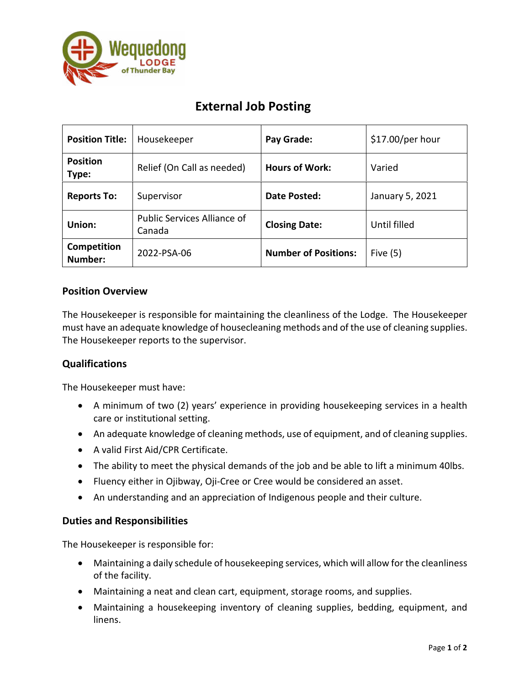

# **External Job Posting**

| <b>Position Title:</b>   | Housekeeper                           | Pay Grade:                  | $$17.00/per$ hour |
|--------------------------|---------------------------------------|-----------------------------|-------------------|
| <b>Position</b><br>Type: | Relief (On Call as needed)            | <b>Hours of Work:</b>       | Varied            |
| <b>Reports To:</b>       | Supervisor                            | Date Posted:                | January 5, 2021   |
| Union:                   | Public Services Alliance of<br>Canada | <b>Closing Date:</b>        | Until filled      |
| Competition<br>Number:   | 2022-PSA-06                           | <b>Number of Positions:</b> | Five $(5)$        |

### **Position Overview**

The Housekeeper is responsible for maintaining the cleanliness of the Lodge. The Housekeeper must have an adequate knowledge of housecleaning methods and of the use of cleaning supplies. The Housekeeper reports to the supervisor.

## **Qualifications**

The Housekeeper must have:

- A minimum of two (2) years' experience in providing housekeeping services in a health care or institutional setting.
- An adequate knowledge of cleaning methods, use of equipment, and of cleaning supplies.
- A valid First Aid/CPR Certificate.
- The ability to meet the physical demands of the job and be able to lift a minimum 40lbs.
- Fluency either in Ojibway, Oji-Cree or Cree would be considered an asset.
- An understanding and an appreciation of Indigenous people and their culture.

#### **Duties and Responsibilities**

The Housekeeper is responsible for:

- Maintaining a daily schedule of housekeeping services, which will allow for the cleanliness of the facility.
- Maintaining a neat and clean cart, equipment, storage rooms, and supplies.
- Maintaining a housekeeping inventory of cleaning supplies, bedding, equipment, and linens.